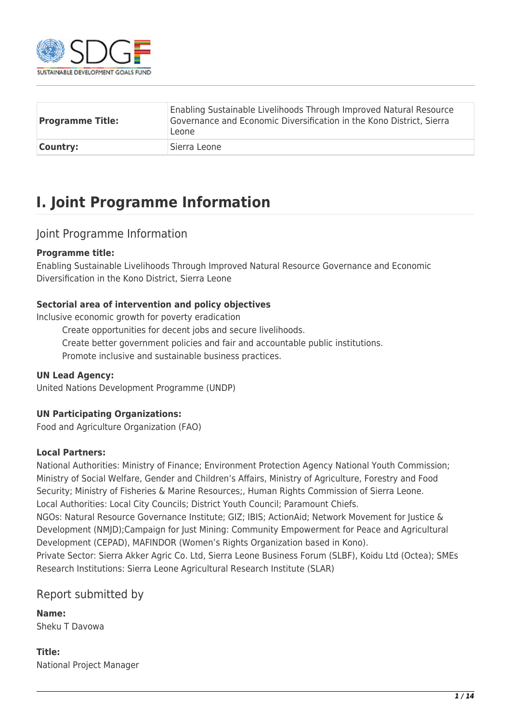

| <b>Programme Title:</b> | Enabling Sustainable Livelihoods Through Improved Natural Resource<br>Governance and Economic Diversification in the Kono District, Sierra<br>Leone |
|-------------------------|-----------------------------------------------------------------------------------------------------------------------------------------------------|
| <b>Country:</b>         | Sierra Leone                                                                                                                                        |

## **I. Joint Programme Information**

#### Joint Programme Information

#### **Programme title:**

Enabling Sustainable Livelihoods Through Improved Natural Resource Governance and Economic Diversification in the Kono District, Sierra Leone

#### **Sectorial area of intervention and policy objectives**

Inclusive economic growth for poverty eradication

Create opportunities for decent jobs and secure livelihoods.

Create better government policies and fair and accountable public institutions.

Promote inclusive and sustainable business practices.

#### **UN Lead Agency:**

United Nations Development Programme (UNDP)

#### **UN Participating Organizations:**

Food and Agriculture Organization (FAO)

#### **Local Partners:**

National Authorities: Ministry of Finance; Environment Protection Agency National Youth Commission; Ministry of Social Welfare, Gender and Children's Affairs, Ministry of Agriculture, Forestry and Food Security; Ministry of Fisheries & Marine Resources;, Human Rights Commission of Sierra Leone. Local Authorities: Local City Councils; District Youth Council; Paramount Chiefs.

NGOs: Natural Resource Governance Institute; GIZ; IBIS; ActionAid; Network Movement for Justice & Development (NMJD);Campaign for Just Mining: Community Empowerment for Peace and Agricultural Development (CEPAD), MAFINDOR (Women's Rights Organization based in Kono).

Private Sector: Sierra Akker Agric Co. Ltd, Sierra Leone Business Forum (SLBF), Koidu Ltd (Octea); SMEs Research Institutions: Sierra Leone Agricultural Research Institute (SLAR)

### Report submitted by

**Name:**  Sheku T Davowa

**Title:**  National Project Manager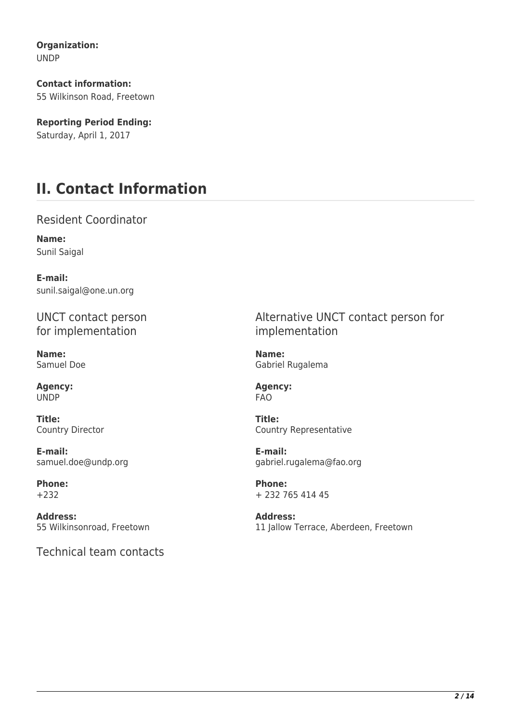**Organization:**  UNDP

**Contact information:**  55 Wilkinson Road, Freetown

**Reporting Period Ending:**  Saturday, April 1, 2017

# **II. Contact Information**

Resident Coordinator

**Name:**  Sunil Saigal

**E-mail:**  sunil.saigal@one.un.org

UNCT contact person for implementation

**Name:**  Samuel Doe

**Agency:**  UNDP

**Title:**  Country Director

**E-mail:**  samuel.doe@undp.org

**Phone:**  +232

**Address:**  55 Wilkinsonroad, Freetown

Technical team contacts

Alternative UNCT contact person for implementation

**Name:**  Gabriel Rugalema

**Agency:**  FAO

**Title:**  Country Representative

**E-mail:**  gabriel.rugalema@fao.org

**Phone:**  + 232 765 414 45

**Address:**  11 Jallow Terrace, Aberdeen, Freetown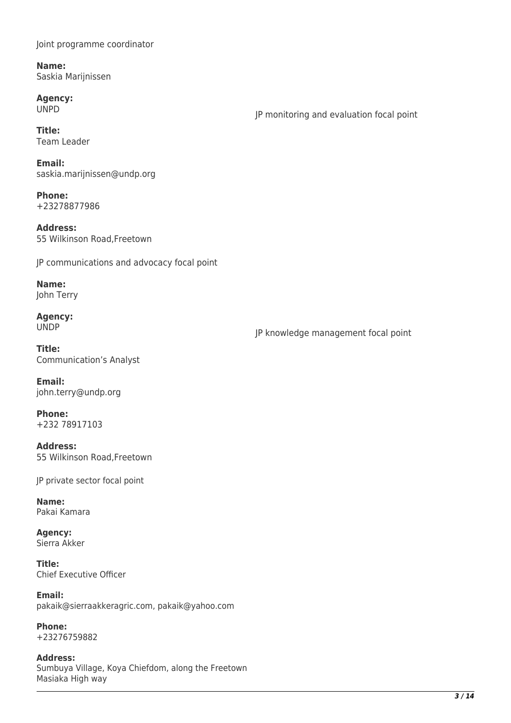Joint programme coordinator

**Name:**  Saskia Marijnissen

**Agency:**  UNPD

JP monitoring and evaluation focal point

**Title:**  Team Leader

**Email:**  saskia.marijnissen@undp.org

**Phone:**  +23278877986

**Address:**  55 Wilkinson Road,Freetown

JP communications and advocacy focal point

**Name:**  John Terry

**Agency:**  UNDP

JP knowledge management focal point

**Title:**  Communication's Analyst

**Email:**  john.terry@undp.org

**Phone:**  +232 78917103

**Address:**  55 Wilkinson Road,Freetown

JP private sector focal point

**Name:**  Pakai Kamara

**Agency:**  Sierra Akker

**Title:**  Chief Executive Officer

**Email:**  pakaik@sierraakkeragric.com, pakaik@yahoo.com

**Phone:**  +23276759882

**Address:**  Sumbuya Village, Koya Chiefdom, along the Freetown Masiaka High way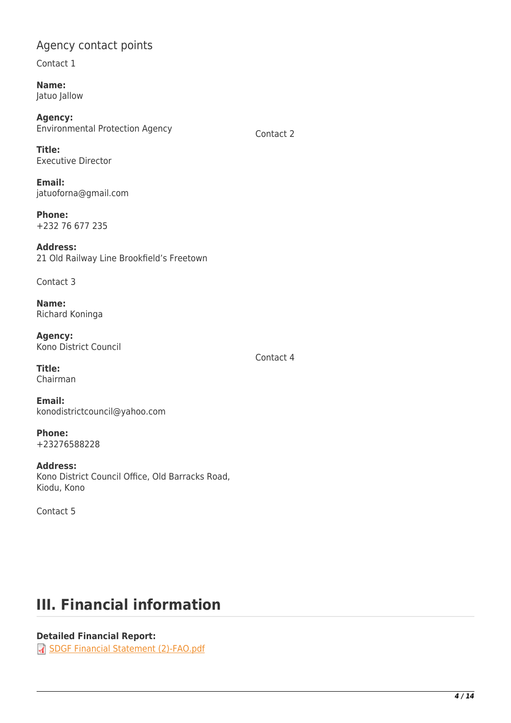### Agency contact points

Contact 1

**Name:**  Jatuo Jallow

**Agency:**  Environmental Protection Agency

Contact 2

Contact 4

**Title:**  Executive Director

**Email:**  jatuoforna@gmail.com

**Phone:**  +232 76 677 235

**Address:**  21 Old Railway Line Brookfield's Freetown

Contact 3

**Name:**  Richard Koninga

**Agency:**  Kono District Council

**Title:**  Chairman

**Email:**  konodistrictcouncil@yahoo.com

**Phone:**  +23276588228

**Address:**  Kono District Council Office, Old Barracks Road, Kiodu, Kono

Contact 5

# **III. Financial information**

#### **Detailed Financial Report:**

[SDGF Financial Statement \(2\)-FAO.pdf](http://proposals.sdgfund.org/system/files/report-attachments/SDGF%20Financial%20Statement%20%282%29-FAO.pdf)

*4 / 14*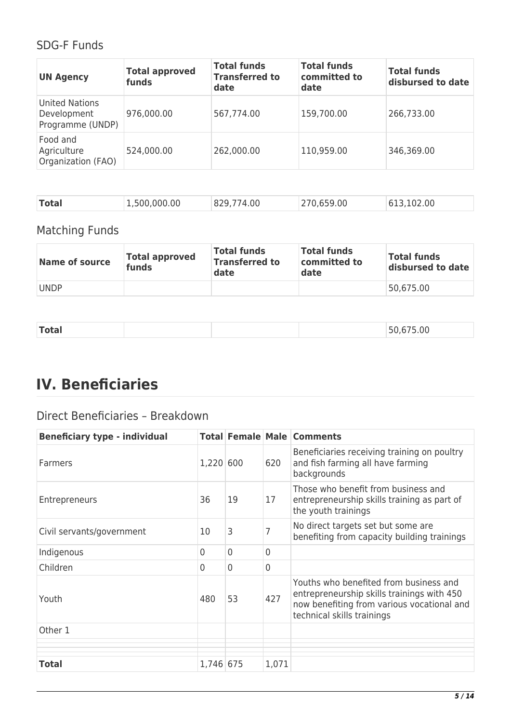## SDG-F Funds

| <b>UN Agency</b>                                  | <b>Total approved</b><br>funds | <b>Total funds</b><br><b>Transferred to</b><br>date | <b>Total funds</b><br>committed to<br>date | <b>Total funds</b><br>disbursed to date |
|---------------------------------------------------|--------------------------------|-----------------------------------------------------|--------------------------------------------|-----------------------------------------|
| United Nations<br>Development<br>Programme (UNDP) | 976,000.00                     | 567,774.00                                          | 159,700.00                                 | 266,733.00                              |
| Food and<br>Agriculture<br>Organization (FAO)     | 524,000.00                     | 262,000.00                                          | 110,959.00                                 | 346,369.00                              |

| Total<br>1,500,000.00 | 829,774.00 | 270,659.00 | 613, 102.00 |
|-----------------------|------------|------------|-------------|
|-----------------------|------------|------------|-------------|

## Matching Funds

| Name of source | <b>Total approved</b><br>funds | <b>Total funds</b><br><b>Transferred to</b><br>date | <b>Total funds</b><br>committed to<br>date | <b>Total funds</b><br>disbursed to date |
|----------------|--------------------------------|-----------------------------------------------------|--------------------------------------------|-----------------------------------------|
| <b>UNDP</b>    |                                |                                                     |                                            | 50,675.00                               |

|--|

# **IV. Beneficiaries**

## Direct Beneficiaries – Breakdown

| <b>Beneficiary type - individual</b> |           |                |                | <b>Total Female Male Comments</b>                                                                                                                                |
|--------------------------------------|-----------|----------------|----------------|------------------------------------------------------------------------------------------------------------------------------------------------------------------|
| Farmers                              | 1,220 600 |                | 620            | Beneficiaries receiving training on poultry<br>and fish farming all have farming<br>backgrounds                                                                  |
| <b>Entrepreneurs</b>                 | 36        | 19             | 17             | Those who benefit from business and<br>entrepreneurship skills training as part of<br>the youth trainings                                                        |
| Civil servants/government            | 10        | 3              |                | No direct targets set but some are<br>benefiting from capacity building trainings                                                                                |
| Indigenous                           | $\Omega$  | $\overline{0}$ | $\overline{0}$ |                                                                                                                                                                  |
| Children                             | $\Omega$  | 0              | $\overline{0}$ |                                                                                                                                                                  |
| Youth                                | 480       | 53             | 427            | Youths who benefited from business and<br>entrepreneurship skills trainings with 450<br>now benefiting from various vocational and<br>technical skills trainings |
| Other 1                              |           |                |                |                                                                                                                                                                  |
|                                      |           |                |                |                                                                                                                                                                  |
| <b>Total</b>                         | 1,746 675 |                | 1,071          |                                                                                                                                                                  |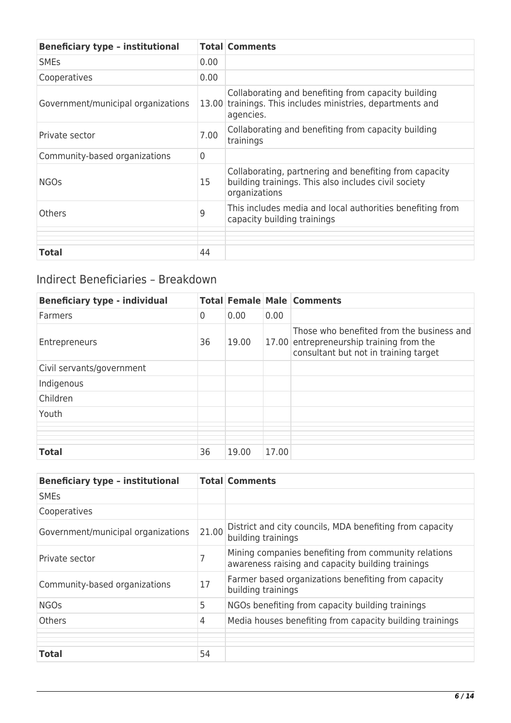| <b>Beneficiary type - institutional</b> |                | <b>Total Comments</b>                                                                                                           |
|-----------------------------------------|----------------|---------------------------------------------------------------------------------------------------------------------------------|
| <b>SME<sub>S</sub></b>                  | 0.00           |                                                                                                                                 |
| Cooperatives                            | 0.00           |                                                                                                                                 |
| Government/municipal organizations      | 13.00          | Collaborating and benefiting from capacity building<br>trainings. This includes ministries, departments and<br>agencies.        |
| Private sector                          | 7.00           | Collaborating and benefiting from capacity building<br>trainings                                                                |
| Community-based organizations           | $\overline{0}$ |                                                                                                                                 |
| <b>NGOs</b>                             | 15             | Collaborating, partnering and benefiting from capacity<br>building trainings. This also includes civil society<br>organizations |
| <b>Others</b>                           | 9              | This includes media and local authorities benefiting from<br>capacity building trainings                                        |
| <b>Total</b>                            | 44             |                                                                                                                                 |
|                                         |                |                                                                                                                                 |

## Indirect Beneficiaries – Breakdown

| <b>Beneficiary type - individual</b> |                |       |       | <b>Total Female Male Comments</b>                                                                                              |
|--------------------------------------|----------------|-------|-------|--------------------------------------------------------------------------------------------------------------------------------|
| Farmers                              | $\overline{0}$ | 0.00  | 0.00  |                                                                                                                                |
| Entrepreneurs                        | 36             | 19.00 |       | Those who benefited from the business and<br>17.00 entrepreneurship training from the<br>consultant but not in training target |
| Civil servants/government            |                |       |       |                                                                                                                                |
| Indigenous                           |                |       |       |                                                                                                                                |
| Children                             |                |       |       |                                                                                                                                |
| Youth                                |                |       |       |                                                                                                                                |
|                                      |                |       |       |                                                                                                                                |
|                                      |                |       |       |                                                                                                                                |
| <b>Total</b>                         | 36             | 19.00 | 17.00 |                                                                                                                                |

| <b>Beneficiary type - institutional</b> |                | <b>Total Comments</b>                                                                                     |
|-----------------------------------------|----------------|-----------------------------------------------------------------------------------------------------------|
| <b>SME<sub>S</sub></b>                  |                |                                                                                                           |
| Cooperatives                            |                |                                                                                                           |
| Government/municipal organizations      | 21.00          | District and city councils, MDA benefiting from capacity<br>building trainings                            |
| Private sector                          | 7              | Mining companies benefiting from community relations<br>awareness raising and capacity building trainings |
| Community-based organizations           | 17             | Farmer based organizations benefiting from capacity<br>building trainings                                 |
| <b>NGOs</b>                             | 5              | NGOs benefiting from capacity building trainings                                                          |
| <b>Others</b>                           | $\overline{4}$ | Media houses benefiting from capacity building trainings                                                  |
|                                         |                |                                                                                                           |
| <b>Total</b>                            | 54             |                                                                                                           |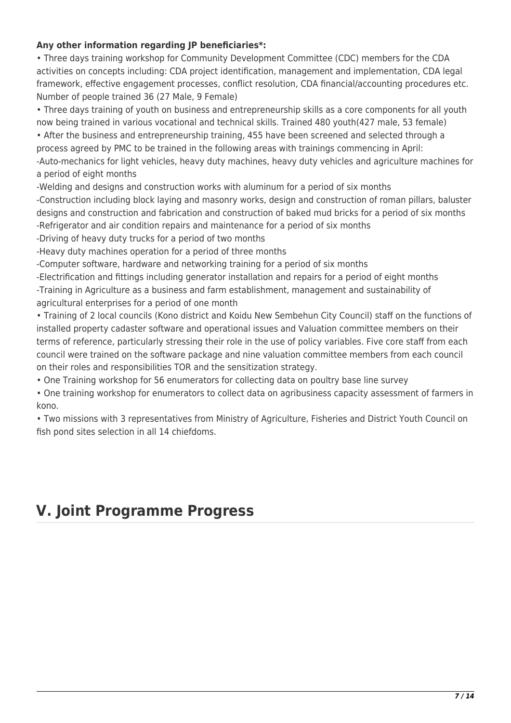#### **Any other information regarding JP beneficiaries\*:**

• Three days training workshop for Community Development Committee (CDC) members for the CDA activities on concepts including: CDA project identification, management and implementation, CDA legal framework, effective engagement processes, conflict resolution, CDA financial/accounting procedures etc. Number of people trained 36 (27 Male, 9 Female)

• Three days training of youth on business and entrepreneurship skills as a core components for all youth now being trained in various vocational and technical skills. Trained 480 youth(427 male, 53 female)

• After the business and entrepreneurship training, 455 have been screened and selected through a process agreed by PMC to be trained in the following areas with trainings commencing in April: -Auto-mechanics for light vehicles, heavy duty machines, heavy duty vehicles and agriculture machines for a period of eight months

-Welding and designs and construction works with aluminum for a period of six months

-Construction including block laying and masonry works, design and construction of roman pillars, baluster designs and construction and fabrication and construction of baked mud bricks for a period of six months -Refrigerator and air condition repairs and maintenance for a period of six months

-Driving of heavy duty trucks for a period of two months

-Heavy duty machines operation for a period of three months

-Computer software, hardware and networking training for a period of six months

-Electrification and fittings including generator installation and repairs for a period of eight months -Training in Agriculture as a business and farm establishment, management and sustainability of agricultural enterprises for a period of one month

• Training of 2 local councils (Kono district and Koidu New Sembehun City Council) staff on the functions of installed property cadaster software and operational issues and Valuation committee members on their terms of reference, particularly stressing their role in the use of policy variables. Five core staff from each council were trained on the software package and nine valuation committee members from each council on their roles and responsibilities TOR and the sensitization strategy.

• One Training workshop for 56 enumerators for collecting data on poultry base line survey

• One training workshop for enumerators to collect data on agribusiness capacity assessment of farmers in kono.

• Two missions with 3 representatives from Ministry of Agriculture, Fisheries and District Youth Council on fish pond sites selection in all 14 chiefdoms.

## **V. Joint Programme Progress**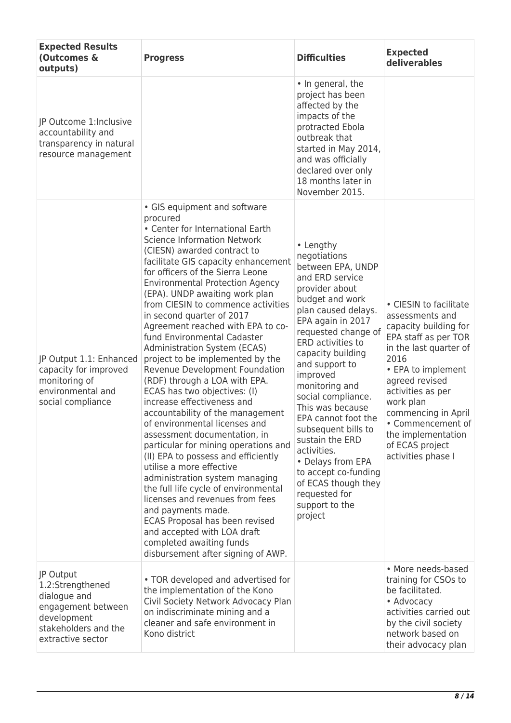| <b>Expected Results</b><br>(Outcomes &<br>outputs)                                                                              | <b>Progress</b>                                                                                                                                                                                                                                                                                                                                                                                                                                                                                                                                                                                                                                                                                                                                                                                                                                                                                                                                                                                                                                                                                                                            | <b>Difficulties</b>                                                                                                                                                                                                                                                                                                                                                                                                                                                                                             | <b>Expected</b><br>deliverables                                                                                                                                                                                                                                                                                   |
|---------------------------------------------------------------------------------------------------------------------------------|--------------------------------------------------------------------------------------------------------------------------------------------------------------------------------------------------------------------------------------------------------------------------------------------------------------------------------------------------------------------------------------------------------------------------------------------------------------------------------------------------------------------------------------------------------------------------------------------------------------------------------------------------------------------------------------------------------------------------------------------------------------------------------------------------------------------------------------------------------------------------------------------------------------------------------------------------------------------------------------------------------------------------------------------------------------------------------------------------------------------------------------------|-----------------------------------------------------------------------------------------------------------------------------------------------------------------------------------------------------------------------------------------------------------------------------------------------------------------------------------------------------------------------------------------------------------------------------------------------------------------------------------------------------------------|-------------------------------------------------------------------------------------------------------------------------------------------------------------------------------------------------------------------------------------------------------------------------------------------------------------------|
| JP Outcome 1: Inclusive<br>accountability and<br>transparency in natural<br>resource management                                 |                                                                                                                                                                                                                                                                                                                                                                                                                                                                                                                                                                                                                                                                                                                                                                                                                                                                                                                                                                                                                                                                                                                                            | • In general, the<br>project has been<br>affected by the<br>impacts of the<br>protracted Ebola<br>outbreak that<br>started in May 2014,<br>and was officially<br>declared over only<br>18 months later in<br>November 2015.                                                                                                                                                                                                                                                                                     |                                                                                                                                                                                                                                                                                                                   |
| JP Output 1.1: Enhanced<br>capacity for improved<br>monitoring of<br>environmental and<br>social compliance                     | • GIS equipment and software<br>procured<br>• Center for International Earth<br><b>Science Information Network</b><br>(CIESN) awarded contract to<br>facilitate GIS capacity enhancement<br>for officers of the Sierra Leone<br><b>Environmental Protection Agency</b><br>(EPA). UNDP awaiting work plan<br>from CIESIN to commence activities<br>in second quarter of 2017<br>Agreement reached with EPA to co-<br>fund Environmental Cadaster<br>Administration System (ECAS)<br>project to be implemented by the<br>Revenue Development Foundation<br>(RDF) through a LOA with EPA.<br>ECAS has two objectives: (I)<br>increase effectiveness and<br>accountability of the management<br>of environmental licenses and<br>assessment documentation, in<br>particular for mining operations and<br>(II) EPA to possess and efficiently<br>utilise a more effective<br>administration system managing<br>the full life cycle of environmental<br>licenses and revenues from fees<br>and payments made.<br>ECAS Proposal has been revised<br>and accepted with LOA draft<br>completed awaiting funds<br>disbursement after signing of AWP. | • Lengthy<br>negotiations<br>between EPA, UNDP<br>and ERD service<br>provider about<br>budget and work<br>plan caused delays.<br>EPA again in 2017<br>requested change of<br>ERD activities to<br>capacity building<br>and support to<br>improved<br>monitoring and<br>social compliance.<br>This was because<br>EPA cannot foot the<br>subsequent bills to<br>sustain the ERD<br>activities.<br>• Delays from EPA<br>to accept co-funding<br>of ECAS though they<br>requested for<br>support to the<br>project | • CIESIN to facilitate<br>assessments and<br>capacity building for<br>EPA staff as per TOR<br>in the last quarter of<br>2016<br>• EPA to implement<br>agreed revised<br>activities as per<br>work plan<br>commencing in April<br>• Commencement of<br>the implementation<br>of ECAS project<br>activities phase I |
| JP Output<br>1.2:Strengthened<br>dialogue and<br>engagement between<br>development<br>stakeholders and the<br>extractive sector | • TOR developed and advertised for<br>the implementation of the Kono<br>Civil Society Network Advocacy Plan<br>on indiscriminate mining and a<br>cleaner and safe environment in<br>Kono district                                                                                                                                                                                                                                                                                                                                                                                                                                                                                                                                                                                                                                                                                                                                                                                                                                                                                                                                          |                                                                                                                                                                                                                                                                                                                                                                                                                                                                                                                 | • More needs-based<br>training for CSOs to<br>be facilitated.<br>• Advocacy<br>activities carried out<br>by the civil society<br>network based on<br>their advocacy plan                                                                                                                                          |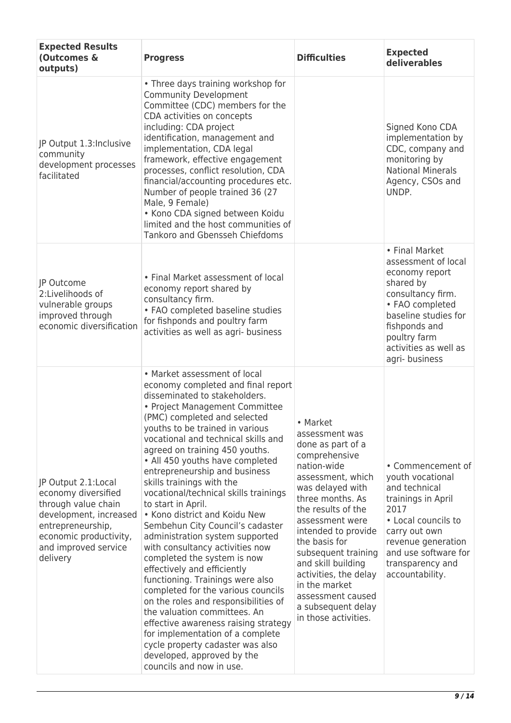| <b>Expected Results</b><br>(Outcomes &<br>outputs)                                                                                                                             | <b>Progress</b>                                                                                                                                                                                                                                                                                                                                                                                                                                                                                                                                                                                                                                                                                                                                                                                                                                                                                                                                                                        | <b>Difficulties</b>                                                                                                                                                                                                                                                                                                                                                                     | <b>Expected</b><br>deliverables                                                                                                                                                                                   |
|--------------------------------------------------------------------------------------------------------------------------------------------------------------------------------|----------------------------------------------------------------------------------------------------------------------------------------------------------------------------------------------------------------------------------------------------------------------------------------------------------------------------------------------------------------------------------------------------------------------------------------------------------------------------------------------------------------------------------------------------------------------------------------------------------------------------------------------------------------------------------------------------------------------------------------------------------------------------------------------------------------------------------------------------------------------------------------------------------------------------------------------------------------------------------------|-----------------------------------------------------------------------------------------------------------------------------------------------------------------------------------------------------------------------------------------------------------------------------------------------------------------------------------------------------------------------------------------|-------------------------------------------------------------------------------------------------------------------------------------------------------------------------------------------------------------------|
| JP Output 1.3: Inclusive<br>community<br>development processes<br>facilitated                                                                                                  | • Three days training workshop for<br><b>Community Development</b><br>Committee (CDC) members for the<br>CDA activities on concepts<br>including: CDA project<br>identification, management and<br>implementation, CDA legal<br>framework, effective engagement<br>processes, conflict resolution, CDA<br>financial/accounting procedures etc.<br>Number of people trained 36 (27<br>Male, 9 Female)<br>• Kono CDA signed between Koidu<br>limited and the host communities of<br>Tankoro and Gbensseh Chiefdoms                                                                                                                                                                                                                                                                                                                                                                                                                                                                       |                                                                                                                                                                                                                                                                                                                                                                                         | Signed Kono CDA<br>implementation by<br>CDC, company and<br>monitoring by<br><b>National Minerals</b><br>Agency, CSOs and<br>UNDP.                                                                                |
| JP Outcome<br>2:Livelihoods of<br>vulnerable groups<br>improved through<br>economic diversification                                                                            | • Final Market assessment of local<br>economy report shared by<br>consultancy firm.<br>• FAO completed baseline studies<br>for fishponds and poultry farm<br>activities as well as agri- business                                                                                                                                                                                                                                                                                                                                                                                                                                                                                                                                                                                                                                                                                                                                                                                      |                                                                                                                                                                                                                                                                                                                                                                                         | • Final Market<br>assessment of local<br>economy report<br>shared by<br>consultancy firm.<br>• FAO completed<br>baseline studies for<br>fishponds and<br>poultry farm<br>activities as well as<br>agri-business   |
| JP Output 2.1:Local<br>economy diversified<br>through value chain<br>development, increased<br>entrepreneurship,<br>economic productivity,<br>and improved service<br>delivery | • Market assessment of local<br>economy completed and final report<br>disseminated to stakeholders.<br>• Project Management Committee<br>(PMC) completed and selected<br>youths to be trained in various<br>vocational and technical skills and<br>agreed on training 450 youths.<br>• All 450 youths have completed<br>entrepreneurship and business<br>skills trainings with the<br>vocational/technical skills trainings<br>to start in April.<br>• Kono district and Koidu New<br>Sembehun City Council's cadaster<br>administration system supported<br>with consultancy activities now<br>completed the system is now<br>effectively and efficiently<br>functioning. Trainings were also<br>completed for the various councils<br>on the roles and responsibilities of<br>the valuation committees. An<br>effective awareness raising strategy<br>for implementation of a complete<br>cycle property cadaster was also<br>developed, approved by the<br>councils and now in use. | • Market<br>assessment was<br>done as part of a<br>comprehensive<br>nation-wide<br>assessment, which<br>was delayed with<br>three months. As<br>the results of the<br>assessment were<br>intended to provide<br>the basis for<br>subsequent training<br>and skill building<br>activities, the delay<br>in the market<br>assessment caused<br>a subsequent delay<br>in those activities. | • Commencement of<br>youth vocational<br>and technical<br>trainings in April<br>2017<br>• Local councils to<br>carry out own<br>revenue generation<br>and use software for<br>transparency and<br>accountability. |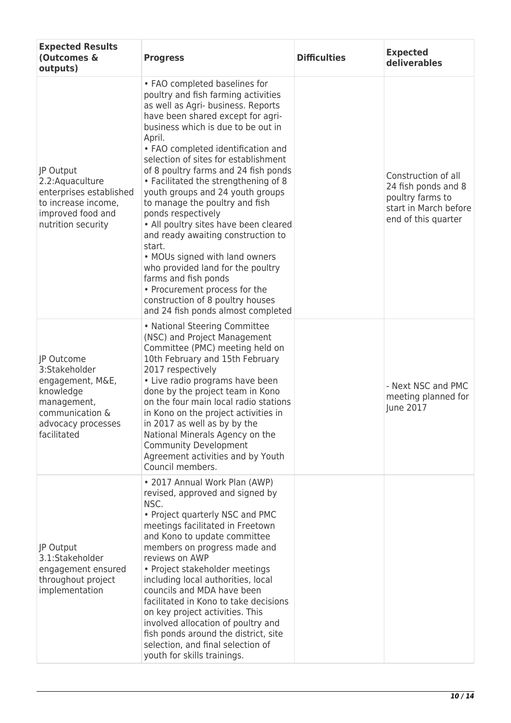| <b>Expected Results</b><br>(Outcomes &<br>outputs)                                                                                  | <b>Progress</b>                                                                                                                                                                                                                                                                                                                                                                                                                                                                                                                                                                                                                                                                                                                                              | <b>Difficulties</b> | <b>Expected</b><br>deliverables                                                                                |
|-------------------------------------------------------------------------------------------------------------------------------------|--------------------------------------------------------------------------------------------------------------------------------------------------------------------------------------------------------------------------------------------------------------------------------------------------------------------------------------------------------------------------------------------------------------------------------------------------------------------------------------------------------------------------------------------------------------------------------------------------------------------------------------------------------------------------------------------------------------------------------------------------------------|---------------------|----------------------------------------------------------------------------------------------------------------|
| JP Output<br>2.2: Aquaculture<br>enterprises established<br>to increase income,<br>improved food and<br>nutrition security          | • FAO completed baselines for<br>poultry and fish farming activities<br>as well as Agri- business. Reports<br>have been shared except for agri-<br>business which is due to be out in<br>April.<br>• FAO completed identification and<br>selection of sites for establishment<br>of 8 poultry farms and 24 fish ponds<br>• Facilitated the strengthening of 8<br>youth groups and 24 youth groups<br>to manage the poultry and fish<br>ponds respectively<br>• All poultry sites have been cleared<br>and ready awaiting construction to<br>start.<br>• MOUs signed with land owners<br>who provided land for the poultry<br>farms and fish ponds<br>• Procurement process for the<br>construction of 8 poultry houses<br>and 24 fish ponds almost completed |                     | Construction of all<br>24 fish ponds and 8<br>poultry farms to<br>start in March before<br>end of this quarter |
| JP Outcome<br>3:Stakeholder<br>engagement, M&E,<br>knowledge<br>management,<br>communication &<br>advocacy processes<br>facilitated | • National Steering Committee<br>(NSC) and Project Management<br>Committee (PMC) meeting held on<br>10th February and 15th February<br>2017 respectively<br>• Live radio programs have been<br>done by the project team in Kono<br>on the four main local radio stations<br>in Kono on the project activities in<br>in 2017 as well as by by the<br>National Minerals Agency on the<br><b>Community Development</b><br>Agreement activities and by Youth<br>Council members.                                                                                                                                                                                                                                                                                 |                     | - Next NSC and PMC<br>meeting planned for<br>June 2017                                                         |
| JP Output<br>3.1:Stakeholder<br>engagement ensured<br>throughout project<br>implementation                                          | • 2017 Annual Work Plan (AWP)<br>revised, approved and signed by<br>NSC.<br>• Project quarterly NSC and PMC<br>meetings facilitated in Freetown<br>and Kono to update committee<br>members on progress made and<br>reviews on AWP<br>• Project stakeholder meetings<br>including local authorities, local<br>councils and MDA have been<br>facilitated in Kono to take decisions<br>on key project activities. This<br>involved allocation of poultry and<br>fish ponds around the district, site<br>selection, and final selection of<br>youth for skills trainings.                                                                                                                                                                                        |                     |                                                                                                                |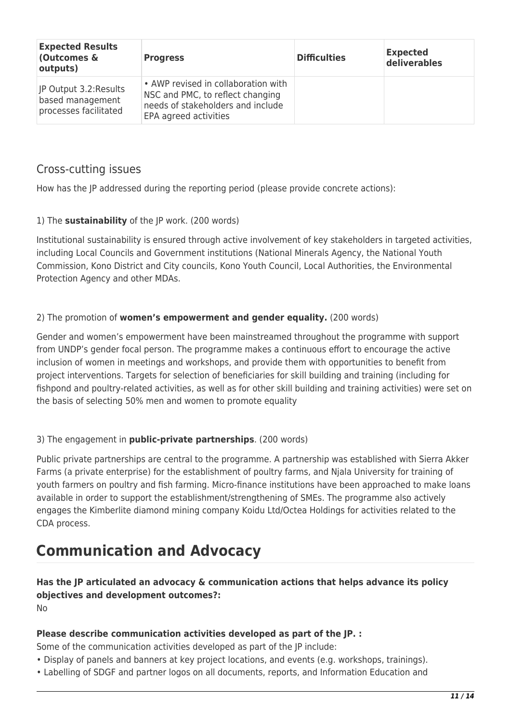| <b>Expected Results</b><br>(Outcomes &<br>outputs)                  | <b>Progress</b>                                                                                                                       | <b>Difficulties</b> | <b>Expected</b><br>deliverables |
|---------------------------------------------------------------------|---------------------------------------------------------------------------------------------------------------------------------------|---------------------|---------------------------------|
| JP Output 3.2: Results<br>based management<br>processes facilitated | • AWP revised in collaboration with<br>NSC and PMC, to reflect changing<br>needs of stakeholders and include<br>EPA agreed activities |                     |                                 |

### Cross-cutting issues

How has the JP addressed during the reporting period (please provide concrete actions):

#### 1) The **sustainability** of the JP work. (200 words)

Institutional sustainability is ensured through active involvement of key stakeholders in targeted activities, including Local Councils and Government institutions (National Minerals Agency, the National Youth Commission, Kono District and City councils, Kono Youth Council, Local Authorities, the Environmental Protection Agency and other MDAs.

#### 2) The promotion of **women's empowerment and gender equality.** (200 words)

Gender and women's empowerment have been mainstreamed throughout the programme with support from UNDP's gender focal person. The programme makes a continuous effort to encourage the active inclusion of women in meetings and workshops, and provide them with opportunities to benefit from project interventions. Targets for selection of beneficiaries for skill building and training (including for fishpond and poultry-related activities, as well as for other skill building and training activities) were set on the basis of selecting 50% men and women to promote equality

#### 3) The engagement in **public-private partnerships**. (200 words)

Public private partnerships are central to the programme. A partnership was established with Sierra Akker Farms (a private enterprise) for the establishment of poultry farms, and Njala University for training of youth farmers on poultry and fish farming. Micro-finance institutions have been approached to make loans available in order to support the establishment/strengthening of SMEs. The programme also actively engages the Kimberlite diamond mining company Koidu Ltd/Octea Holdings for activities related to the CDA process.

## **Communication and Advocacy**

## **Has the JP articulated an advocacy & communication actions that helps advance its policy objectives and development outcomes?:**

 $N<sub>0</sub>$ 

#### **Please describe communication activities developed as part of the JP. :**

Some of the communication activities developed as part of the JP include:

- Display of panels and banners at key project locations, and events (e.g. workshops, trainings).
- Labelling of SDGF and partner logos on all documents, reports, and Information Education and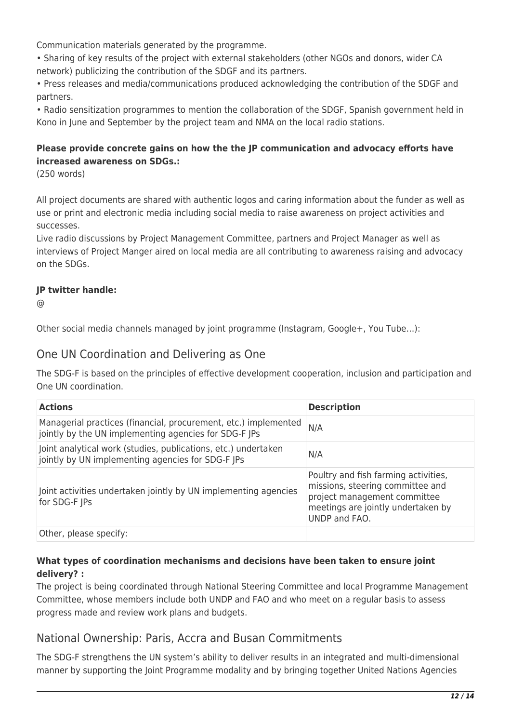Communication materials generated by the programme.

• Sharing of key results of the project with external stakeholders (other NGOs and donors, wider CA network) publicizing the contribution of the SDGF and its partners.

• Press releases and media/communications produced acknowledging the contribution of the SDGF and partners.

• Radio sensitization programmes to mention the collaboration of the SDGF, Spanish government held in Kono in June and September by the project team and NMA on the local radio stations.

#### **Please provide concrete gains on how the the JP communication and advocacy efforts have increased awareness on SDGs.:**

(250 words)

All project documents are shared with authentic logos and caring information about the funder as well as use or print and electronic media including social media to raise awareness on project activities and successes.

Live radio discussions by Project Management Committee, partners and Project Manager as well as interviews of Project Manger aired on local media are all contributing to awareness raising and advocacy on the SDGs.

#### **JP twitter handle:**

@

Other social media channels managed by joint programme (Instagram, Google+, You Tube…):

### One UN Coordination and Delivering as One

The SDG-F is based on the principles of effective development cooperation, inclusion and participation and One UN coordination.

| <b>Actions</b>                                                                                                           | <b>Description</b>                                                                                                                                              |
|--------------------------------------------------------------------------------------------------------------------------|-----------------------------------------------------------------------------------------------------------------------------------------------------------------|
| Managerial practices (financial, procurement, etc.) implemented<br>jointly by the UN implementing agencies for SDG-F JPs | N/A                                                                                                                                                             |
| Joint analytical work (studies, publications, etc.) undertaken<br>jointly by UN implementing agencies for SDG-F JPs      | N/A                                                                                                                                                             |
| Joint activities undertaken jointly by UN implementing agencies<br>for SDG-F JPs                                         | Poultry and fish farming activities,<br>missions, steering committee and<br>project management committee<br>meetings are jointly undertaken by<br>UNDP and FAO. |
| Other, please specify:                                                                                                   |                                                                                                                                                                 |

#### **What types of coordination mechanisms and decisions have been taken to ensure joint delivery? :**

The project is being coordinated through National Steering Committee and local Programme Management Committee, whose members include both UNDP and FAO and who meet on a regular basis to assess progress made and review work plans and budgets.

### National Ownership: Paris, Accra and Busan Commitments

The SDG-F strengthens the UN system's ability to deliver results in an integrated and multi-dimensional manner by supporting the Joint Programme modality and by bringing together United Nations Agencies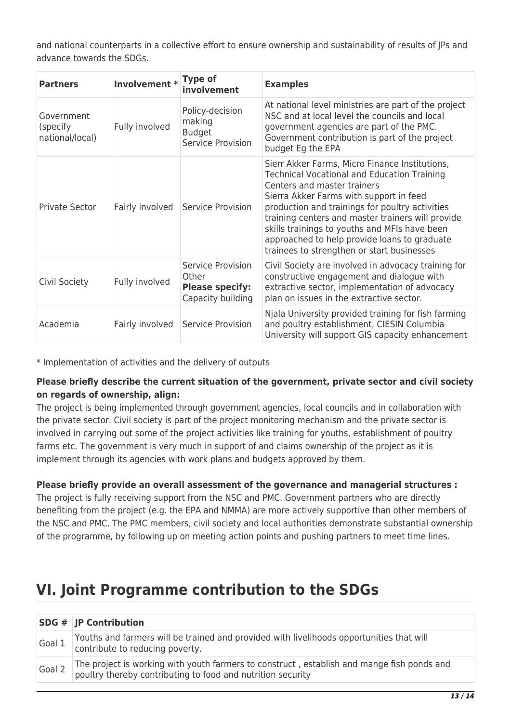and national counterparts in a collective effort to ensure ownership and sustainability of results of JPs and advance towards the SDGs.

| <b>Partners</b>                            | Involvement *   | <b>Type of</b><br>involvement                                             | <b>Examples</b>                                                                                                                                                                                                                                                                                                                                                                                                                       |
|--------------------------------------------|-----------------|---------------------------------------------------------------------------|---------------------------------------------------------------------------------------------------------------------------------------------------------------------------------------------------------------------------------------------------------------------------------------------------------------------------------------------------------------------------------------------------------------------------------------|
| Government<br>(specify)<br>national/local) | Fully involved  | Policy-decision<br>making<br><b>Budget</b><br>Service Provision           | At national level ministries are part of the project<br>NSC and at local level the councils and local<br>government agencies are part of the PMC.<br>Government contribution is part of the project<br>budget Eg the EPA                                                                                                                                                                                                              |
| Private Sector                             | Fairly involved | Service Provision                                                         | Sierr Akker Farms, Micro Finance Institutions,<br><b>Technical Vocational and Education Training</b><br>Centers and master trainers<br>Sierra Akker Farms with support in feed<br>production and trainings for poultry activities<br>training centers and master trainers will provide<br>skills trainings to youths and MFIs have been<br>approached to help provide loans to graduate<br>trainees to strengthen or start businesses |
| Civil Society                              | Fully involved  | Service Provision<br>Other<br><b>Please specify:</b><br>Capacity building | Civil Society are involved in advocacy training for<br>constructive engagement and dialogue with<br>extractive sector, implementation of advocacy<br>plan on issues in the extractive sector.                                                                                                                                                                                                                                         |
| Academia                                   | Fairly involved | Service Provision                                                         | Njala University provided training for fish farming<br>and poultry establishment, CIESIN Columbia<br>University will support GIS capacity enhancement                                                                                                                                                                                                                                                                                 |

\* Implementation of activities and the delivery of outputs

#### **Please briefly describe the current situation of the government, private sector and civil society on regards of ownership, align:**

The project is being implemented through government agencies, local councils and in collaboration with the private sector. Civil society is part of the project monitoring mechanism and the private sector is involved in carrying out some of the project activities like training for youths, establishment of poultry farms etc. The government is very much in support of and claims ownership of the project as it is implement through its agencies with work plans and budgets approved by them.

#### **Please briefly provide an overall assessment of the governance and managerial structures :**

The project is fully receiving support from the NSC and PMC. Government partners who are directly benefiting from the project (e.g. the EPA and NMMA) are more actively supportive than other members of the NSC and PMC. The PMC members, civil society and local authorities demonstrate substantial ownership of the programme, by following up on meeting action points and pushing partners to meet time lines.

## **VI. Joint Programme contribution to the SDGs**

|        | <b>SDG # JP Contribution</b>                                                                                                                              |
|--------|-----------------------------------------------------------------------------------------------------------------------------------------------------------|
| Goal 1 | Youths and farmers will be trained and provided with livelihoods opportunities that will<br>contribute to reducing poverty.                               |
| Goal 2 | The project is working with youth farmers to construct, establish and mange fish ponds and<br>poultry thereby contributing to food and nutrition security |